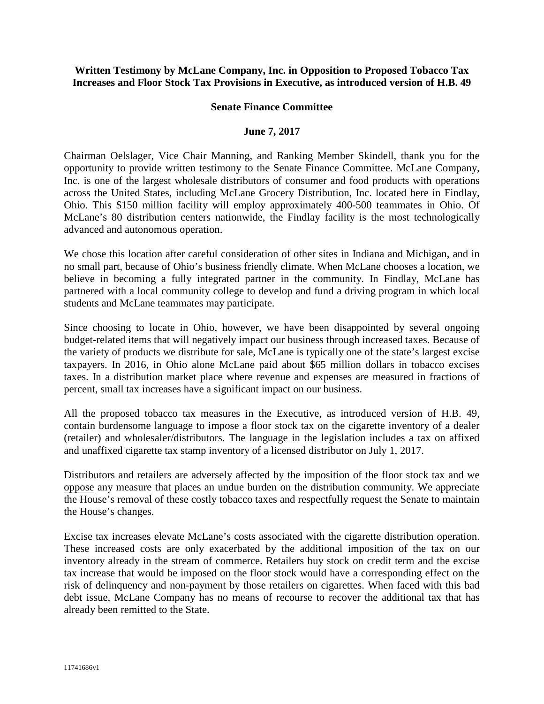## **Written Testimony by McLane Company, Inc. in Opposition to Proposed Tobacco Tax Increases and Floor Stock Tax Provisions in Executive, as introduced version of H.B. 49**

## **Senate Finance Committee**

## **June 7, 2017**

Chairman Oelslager, Vice Chair Manning, and Ranking Member Skindell, thank you for the opportunity to provide written testimony to the Senate Finance Committee. McLane Company, Inc. is one of the largest wholesale distributors of consumer and food products with operations across the United States, including McLane Grocery Distribution, Inc. located here in Findlay, Ohio. This \$150 million facility will employ approximately 400-500 teammates in Ohio. Of McLane's 80 distribution centers nationwide, the Findlay facility is the most technologically advanced and autonomous operation.

We chose this location after careful consideration of other sites in Indiana and Michigan, and in no small part, because of Ohio's business friendly climate. When McLane chooses a location, we believe in becoming a fully integrated partner in the community. In Findlay, McLane has partnered with a local community college to develop and fund a driving program in which local students and McLane teammates may participate.

Since choosing to locate in Ohio, however, we have been disappointed by several ongoing budget-related items that will negatively impact our business through increased taxes. Because of the variety of products we distribute for sale, McLane is typically one of the state's largest excise taxpayers. In 2016, in Ohio alone McLane paid about \$65 million dollars in tobacco excises taxes. In a distribution market place where revenue and expenses are measured in fractions of percent, small tax increases have a significant impact on our business.

All the proposed tobacco tax measures in the Executive, as introduced version of H.B. 49, contain burdensome language to impose a floor stock tax on the cigarette inventory of a dealer (retailer) and wholesaler/distributors. The language in the legislation includes a tax on affixed and unaffixed cigarette tax stamp inventory of a licensed distributor on July 1, 2017.

Distributors and retailers are adversely affected by the imposition of the floor stock tax and we oppose any measure that places an undue burden on the distribution community. We appreciate the House's removal of these costly tobacco taxes and respectfully request the Senate to maintain the House's changes.

Excise tax increases elevate McLane's costs associated with the cigarette distribution operation. These increased costs are only exacerbated by the additional imposition of the tax on our inventory already in the stream of commerce. Retailers buy stock on credit term and the excise tax increase that would be imposed on the floor stock would have a corresponding effect on the risk of delinquency and non-payment by those retailers on cigarettes. When faced with this bad debt issue, McLane Company has no means of recourse to recover the additional tax that has already been remitted to the State.